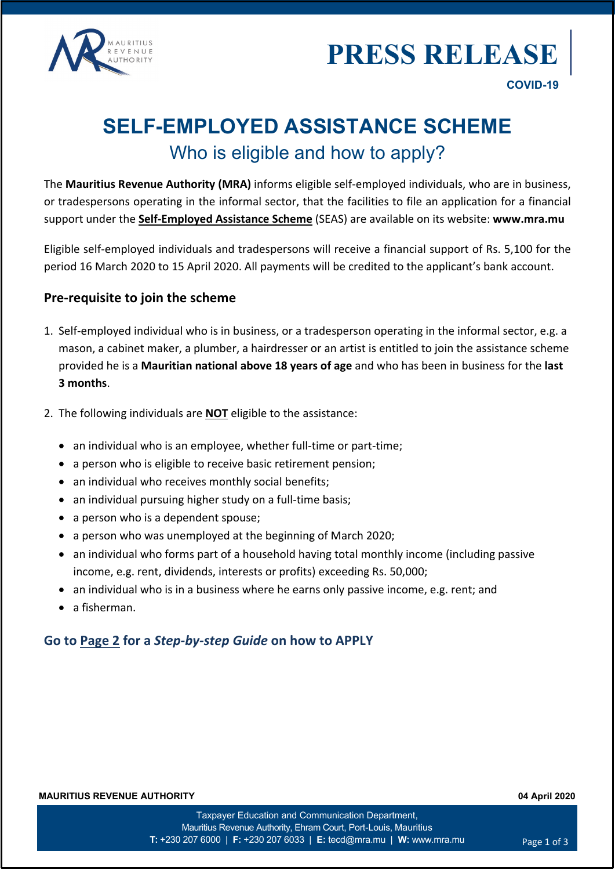



# **SELF-EMPLOYED ASSISTANCE SCHEME** Who is eligible and how to apply?

The **Mauritius Revenue Authority (MRA)** informs eligible self-employed individuals, who are in business, or tradespersons operating in the informal sector, that the facilities to file an application for a financial support under the **Self-Employed Assistance Scheme** (SEAS) are available on its website: **www.mra.mu**

Eligible self-employed individuals and tradespersons will receive a financial support of Rs. 5,100 for the period 16 March 2020 to 15 April 2020. All payments will be credited to the applicant's bank account.

### **Pre-requisite to join the scheme**

- 1. Self-employed individual who is in business, or a tradesperson operating in the informal sector, e.g. a mason, a cabinet maker, a plumber, a hairdresser or an artist is entitled to join the assistance scheme provided he is a **Mauritian national above 18 years of age** and who has been in business for the **last 3 months**.
- 2. The following individuals are **NOT** eligible to the assistance:
	- an individual who is an employee, whether full-time or part-time;
	- a person who is eligible to receive basic retirement pension;
	- an individual who receives monthly social benefits;
	- an individual pursuing higher study on a full-time basis;
	- a person who is a dependent spouse;
	- a person who was unemployed at the beginning of March 2020;
	- an individual who forms part of a household having total monthly income (including passive income, e.g. rent, dividends, interests or profits) exceeding Rs. 50,000;
	- an individual who is in a business where he earns only passive income, e.g. rent; and
	- a fisherman.

### **Go to Page 2 for a** *Step-by-step Guide* **on how to APPLY**

**MAURITIUS REVENUE AUTHORITY 04 April 2020**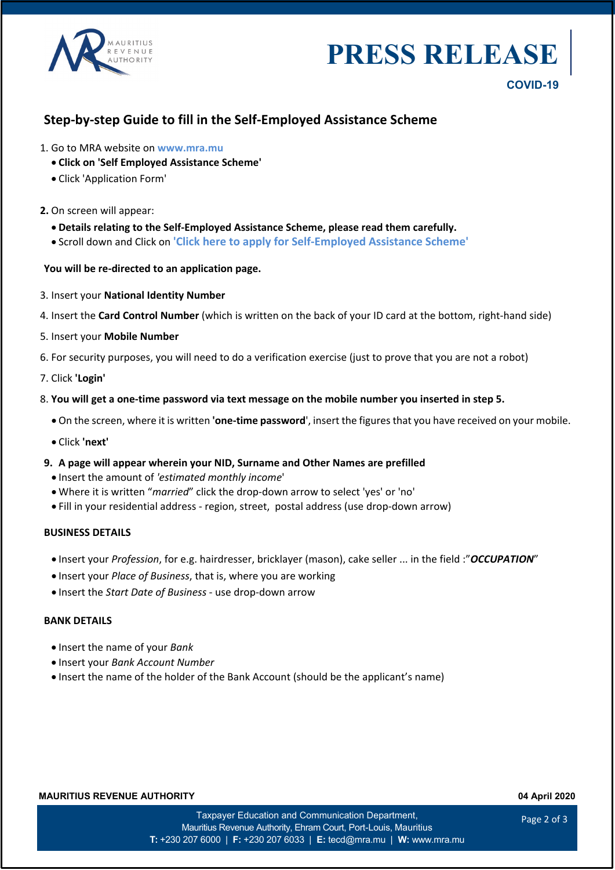

# **PRESS RELEAS**

## **Step-by-step Guide to fill in the Self-Employed Assistance Scheme**

- 1. Go to MRA website on **www.mra.mu**
	- **Click on 'Self Employed Assistance Scheme'**
	- Click 'Application Form'

#### **2.** On screen will appear:

- **Details relating to the Self-Employed Assistance Scheme, please read them carefully.**
- Scroll down and Click on **'Click here to apply for Self-Employed Assistance Scheme'**

#### **You will be re-directed to an application page.**

- 3. Insert your **National Identity Number**
- 4. Insert the **Card Control Number** (which is written on the back of your ID card at the bottom, right-hand side)
- 5. Insert your **Mobile Number**
- 6. For security purposes, you will need to do a verification exercise (just to prove that you are not a robot)
- 7. Click **'Login'**
- 8. **You will get a one-time password via text message on the mobile number you inserted in step 5.**
	- On the screen, where it is written 'one-time password', insert the figures that you have received on your mobile.
	- Click **'next'**
- **9. A page will appear wherein your NID, Surname and Other Names are prefilled**
	- Insert the amount of *'estimated monthly income*'
	- Where it is written "*married*" click the drop-down arrow to select 'yes' or 'no'
	- Fill in your residential address region, street, postal address (use drop-down arrow)

#### **BUSINESS DETAILS**

- Insert your *Profession*, for e.g. hairdresser, bricklayer (mason), cake seller ... in the field :"*OCCUPATION*"
- Insert your *Place of Business*, that is, where you are working
- Insert the *Start Date of Business* use drop-down arrow

#### **BANK DETAILS**

- Insert the name of your *Bank*
- Insert your *Bank Account Number*
- Insert the name of the holder of the Bank Account (should be the applicant's name)

#### **MAURITIUS REVENUE AUTHORITY 04 April 2020**